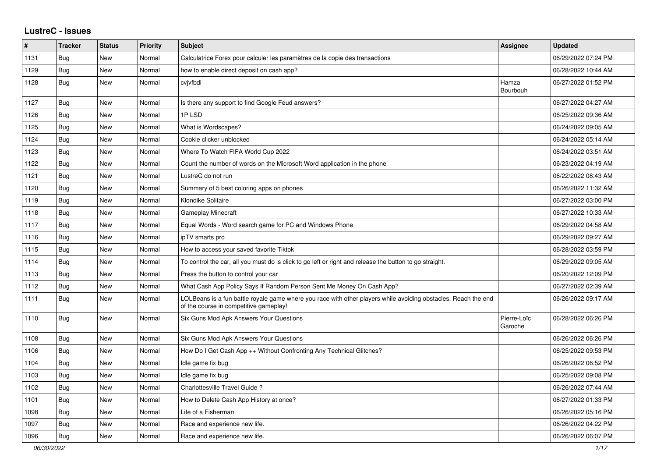## **LustreC - Issues**

| $\vert$ # | <b>Tracker</b> | <b>Status</b> | <b>Priority</b> | <b>Subject</b>                                                                                                                                           | Assignee               | <b>Updated</b>      |
|-----------|----------------|---------------|-----------------|----------------------------------------------------------------------------------------------------------------------------------------------------------|------------------------|---------------------|
| 1131      | Bug            | <b>New</b>    | Normal          | Calculatrice Forex pour calculer les paramètres de la copie des transactions                                                                             |                        | 06/29/2022 07:24 PM |
| 1129      | <b>Bug</b>     | <b>New</b>    | Normal          | how to enable direct deposit on cash app?                                                                                                                |                        | 06/28/2022 10:44 AM |
| 1128      | <b>Bug</b>     | New           | Normal          | cvjvfbdi                                                                                                                                                 | Hamza<br>Bourbouh      | 06/27/2022 01:52 PM |
| 1127      | <b>Bug</b>     | <b>New</b>    | Normal          | Is there any support to find Google Feud answers?                                                                                                        |                        | 06/27/2022 04:27 AM |
| 1126      | Bug            | New           | Normal          | 1PLSD                                                                                                                                                    |                        | 06/25/2022 09:36 AM |
| 1125      | Bug            | <b>New</b>    | Normal          | What is Wordscapes?                                                                                                                                      |                        | 06/24/2022 09:05 AM |
| 1124      | Bug            | New           | Normal          | Cookie clicker unblocked                                                                                                                                 |                        | 06/24/2022 05:14 AM |
| 1123      | Bug            | New           | Normal          | Where To Watch FIFA World Cup 2022                                                                                                                       |                        | 06/24/2022 03:51 AM |
| 1122      | Bug            | New           | Normal          | Count the number of words on the Microsoft Word application in the phone                                                                                 |                        | 06/23/2022 04:19 AM |
| 1121      | <b>Bug</b>     | New           | Normal          | LustreC do not run                                                                                                                                       |                        | 06/22/2022 08:43 AM |
| 1120      | <b>Bug</b>     | <b>New</b>    | Normal          | Summary of 5 best coloring apps on phones                                                                                                                |                        | 06/26/2022 11:32 AM |
| 1119      | <b>Bug</b>     | <b>New</b>    | Normal          | Klondike Solitaire                                                                                                                                       |                        | 06/27/2022 03:00 PM |
| 1118      | Bug            | New           | Normal          | <b>Gameplay Minecraft</b>                                                                                                                                |                        | 06/27/2022 10:33 AM |
| 1117      | Bug            | <b>New</b>    | Normal          | Equal Words - Word search game for PC and Windows Phone                                                                                                  |                        | 06/29/2022 04:58 AM |
| 1116      | <b>Bug</b>     | New           | Normal          | ipTV smarts pro                                                                                                                                          |                        | 06/29/2022 09:27 AM |
| 1115      | Bug            | New           | Normal          | How to access your saved favorite Tiktok                                                                                                                 |                        | 06/28/2022 03:59 PM |
| 1114      | <b>Bug</b>     | New           | Normal          | To control the car, all you must do is click to go left or right and release the button to go straight.                                                  |                        | 06/29/2022 09:05 AM |
| 1113      | Bug            | New           | Normal          | Press the button to control your car                                                                                                                     |                        | 06/20/2022 12:09 PM |
| 1112      | <b>Bug</b>     | New           | Normal          | What Cash App Policy Says If Random Person Sent Me Money On Cash App?                                                                                    |                        | 06/27/2022 02:39 AM |
| 1111      | <b>Bug</b>     | New           | Normal          | LOLBeans is a fun battle royale game where you race with other players while avoiding obstacles. Reach the end<br>of the course in competitive gameplay! |                        | 06/26/2022 09:17 AM |
| 1110      | <b>Bug</b>     | <b>New</b>    | Normal          | Six Guns Mod Apk Answers Your Questions                                                                                                                  | Pierre-Loïc<br>Garoche | 06/28/2022 06:26 PM |
| 1108      | Bug            | New           | Normal          | Six Guns Mod Apk Answers Your Questions                                                                                                                  |                        | 06/26/2022 06:26 PM |
| 1106      | <b>Bug</b>     | <b>New</b>    | Normal          | How Do I Get Cash App ++ Without Confronting Any Technical Glitches?                                                                                     |                        | 06/25/2022 09:53 PM |
| 1104      | <b>Bug</b>     | <b>New</b>    | Normal          | Idle game fix bug                                                                                                                                        |                        | 06/26/2022 06:52 PM |
| 1103      | Bug            | <b>New</b>    | Normal          | Idle game fix bug                                                                                                                                        |                        | 06/25/2022 09:08 PM |
| 1102      | <b>Bug</b>     | <b>New</b>    | Normal          | Charlottesville Travel Guide?                                                                                                                            |                        | 06/26/2022 07:44 AM |
| 1101      | Bug            | New           | Normal          | How to Delete Cash App History at once?                                                                                                                  |                        | 06/27/2022 01:33 PM |
| 1098      | Bug            | New           | Normal          | Life of a Fisherman                                                                                                                                      |                        | 06/26/2022 05:16 PM |
| 1097      | Bug            | New           | Normal          | Race and experience new life.                                                                                                                            |                        | 06/26/2022 04:22 PM |
| 1096      | Bug            | New           | Normal          | Race and experience new life.                                                                                                                            |                        | 06/26/2022 06:07 PM |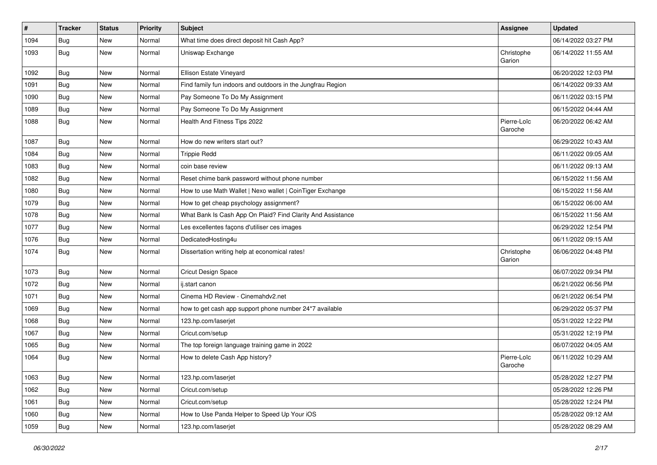| #    | <b>Tracker</b> | <b>Status</b> | <b>Priority</b> | Subject                                                     | Assignee               | <b>Updated</b>      |
|------|----------------|---------------|-----------------|-------------------------------------------------------------|------------------------|---------------------|
| 1094 | Bug            | New           | Normal          | What time does direct deposit hit Cash App?                 |                        | 06/14/2022 03:27 PM |
| 1093 | <b>Bug</b>     | New           | Normal          | Uniswap Exchange                                            | Christophe<br>Garion   | 06/14/2022 11:55 AM |
| 1092 | <b>Bug</b>     | <b>New</b>    | Normal          | Ellison Estate Vineyard                                     |                        | 06/20/2022 12:03 PM |
| 1091 | Bug            | New           | Normal          | Find family fun indoors and outdoors in the Jungfrau Region |                        | 06/14/2022 09:33 AM |
| 1090 | <b>Bug</b>     | New           | Normal          | Pay Someone To Do My Assignment                             |                        | 06/11/2022 03:15 PM |
| 1089 | <b>Bug</b>     | New           | Normal          | Pay Someone To Do My Assignment                             |                        | 06/15/2022 04:44 AM |
| 1088 | Bug            | New           | Normal          | Health And Fitness Tips 2022                                | Pierre-Loïc<br>Garoche | 06/20/2022 06:42 AM |
| 1087 | <b>Bug</b>     | <b>New</b>    | Normal          | How do new writers start out?                               |                        | 06/29/2022 10:43 AM |
| 1084 | <b>Bug</b>     | New           | Normal          | <b>Trippie Redd</b>                                         |                        | 06/11/2022 09:05 AM |
| 1083 | <b>Bug</b>     | New           | Normal          | coin base review                                            |                        | 06/11/2022 09:13 AM |
| 1082 | Bug            | New           | Normal          | Reset chime bank password without phone number              |                        | 06/15/2022 11:56 AM |
| 1080 | <b>Bug</b>     | <b>New</b>    | Normal          | How to use Math Wallet   Nexo wallet   CoinTiger Exchange   |                        | 06/15/2022 11:56 AM |
| 1079 | <b>Bug</b>     | <b>New</b>    | Normal          | How to get cheap psychology assignment?                     |                        | 06/15/2022 06:00 AM |
| 1078 | <b>Bug</b>     | New           | Normal          | What Bank Is Cash App On Plaid? Find Clarity And Assistance |                        | 06/15/2022 11:56 AM |
| 1077 | <b>Bug</b>     | <b>New</b>    | Normal          | Les excellentes façons d'utiliser ces images                |                        | 06/29/2022 12:54 PM |
| 1076 | Bug            | <b>New</b>    | Normal          | DedicatedHosting4u                                          |                        | 06/11/2022 09:15 AM |
| 1074 | Bug            | <b>New</b>    | Normal          | Dissertation writing help at economical rates!              | Christophe<br>Garion   | 06/06/2022 04:48 PM |
| 1073 | Bug            | <b>New</b>    | Normal          | Cricut Design Space                                         |                        | 06/07/2022 09:34 PM |
| 1072 | <b>Bug</b>     | <b>New</b>    | Normal          | ij.start canon                                              |                        | 06/21/2022 06:56 PM |
| 1071 | <b>Bug</b>     | <b>New</b>    | Normal          | Cinema HD Review - Cinemahdv2.net                           |                        | 06/21/2022 06:54 PM |
| 1069 | Bug            | New           | Normal          | how to get cash app support phone number 24*7 available     |                        | 06/29/2022 05:37 PM |
| 1068 | <b>Bug</b>     | <b>New</b>    | Normal          | 123.hp.com/laserjet                                         |                        | 05/31/2022 12:22 PM |
| 1067 | <b>Bug</b>     | <b>New</b>    | Normal          | Cricut.com/setup                                            |                        | 05/31/2022 12:19 PM |
| 1065 | <b>Bug</b>     | New           | Normal          | The top foreign language training game in 2022              |                        | 06/07/2022 04:05 AM |
| 1064 | <b>Bug</b>     | New           | Normal          | How to delete Cash App history?                             | Pierre-Loïc<br>Garoche | 06/11/2022 10:29 AM |
| 1063 | <b>Bug</b>     | New           | Normal          | 123.hp.com/laserjet                                         |                        | 05/28/2022 12:27 PM |
| 1062 | <b>Bug</b>     | New           | Normal          | Cricut.com/setup                                            |                        | 05/28/2022 12:26 PM |
| 1061 | <b>Bug</b>     | New           | Normal          | Cricut.com/setup                                            |                        | 05/28/2022 12:24 PM |
| 1060 | <b>Bug</b>     | New           | Normal          | How to Use Panda Helper to Speed Up Your iOS                |                        | 05/28/2022 09:12 AM |
| 1059 | <b>Bug</b>     | New           | Normal          | 123.hp.com/laserjet                                         |                        | 05/28/2022 08:29 AM |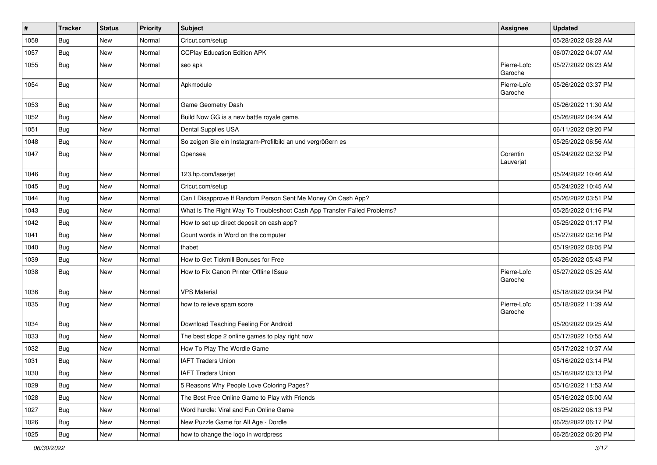| $\vert$ # | <b>Tracker</b> | <b>Status</b> | <b>Priority</b> | <b>Subject</b>                                                           | Assignee               | <b>Updated</b>      |
|-----------|----------------|---------------|-----------------|--------------------------------------------------------------------------|------------------------|---------------------|
| 1058      | <b>Bug</b>     | New           | Normal          | Cricut.com/setup                                                         |                        | 05/28/2022 08:28 AM |
| 1057      | <b>Bug</b>     | <b>New</b>    | Normal          | <b>CCPlay Education Edition APK</b>                                      |                        | 06/07/2022 04:07 AM |
| 1055      | Bug            | <b>New</b>    | Normal          | seo apk                                                                  | Pierre-Loïc<br>Garoche | 05/27/2022 06:23 AM |
| 1054      | <b>Bug</b>     | <b>New</b>    | Normal          | Apkmodule                                                                | Pierre-Loïc<br>Garoche | 05/26/2022 03:37 PM |
| 1053      | Bug            | <b>New</b>    | Normal          | Game Geometry Dash                                                       |                        | 05/26/2022 11:30 AM |
| 1052      | <b>Bug</b>     | <b>New</b>    | Normal          | Build Now GG is a new battle royale game.                                |                        | 05/26/2022 04:24 AM |
| 1051      | <b>Bug</b>     | New           | Normal          | <b>Dental Supplies USA</b>                                               |                        | 06/11/2022 09:20 PM |
| 1048      | <b>Bug</b>     | <b>New</b>    | Normal          | So zeigen Sie ein Instagram-Profilbild an und vergrößern es              |                        | 05/25/2022 06:56 AM |
| 1047      | <b>Bug</b>     | New           | Normal          | Opensea                                                                  | Corentin<br>Lauverjat  | 05/24/2022 02:32 PM |
| 1046      | <b>Bug</b>     | New           | Normal          | 123.hp.com/laserjet                                                      |                        | 05/24/2022 10:46 AM |
| 1045      | <b>Bug</b>     | New           | Normal          | Cricut.com/setup                                                         |                        | 05/24/2022 10:45 AM |
| 1044      | Bug            | New           | Normal          | Can I Disapprove If Random Person Sent Me Money On Cash App?             |                        | 05/26/2022 03:51 PM |
| 1043      | <b>Bug</b>     | <b>New</b>    | Normal          | What Is The Right Way To Troubleshoot Cash App Transfer Failed Problems? |                        | 05/25/2022 01:16 PM |
| 1042      | Bug            | New           | Normal          | How to set up direct deposit on cash app?                                |                        | 05/25/2022 01:17 PM |
| 1041      | <b>Bug</b>     | <b>New</b>    | Normal          | Count words in Word on the computer                                      |                        | 05/27/2022 02:16 PM |
| 1040      | <b>Bug</b>     | New           | Normal          | thabet                                                                   |                        | 05/19/2022 08:05 PM |
| 1039      | <b>Bug</b>     | <b>New</b>    | Normal          | How to Get Tickmill Bonuses for Free                                     |                        | 05/26/2022 05:43 PM |
| 1038      | <b>Bug</b>     | <b>New</b>    | Normal          | How to Fix Canon Printer Offline ISsue                                   | Pierre-Loïc<br>Garoche | 05/27/2022 05:25 AM |
| 1036      | Bug            | <b>New</b>    | Normal          | <b>VPS Material</b>                                                      |                        | 05/18/2022 09:34 PM |
| 1035      | <b>Bug</b>     | <b>New</b>    | Normal          | how to relieve spam score                                                | Pierre-Loïc<br>Garoche | 05/18/2022 11:39 AM |
| 1034      | Bug            | New           | Normal          | Download Teaching Feeling For Android                                    |                        | 05/20/2022 09:25 AM |
| 1033      | <b>Bug</b>     | New           | Normal          | The best slope 2 online games to play right now                          |                        | 05/17/2022 10:55 AM |
| 1032      | <b>Bug</b>     | New           | Normal          | How To Play The Wordle Game                                              |                        | 05/17/2022 10:37 AM |
| 1031      | <b>Bug</b>     | <b>New</b>    | Normal          | <b>IAFT Traders Union</b>                                                |                        | 05/16/2022 03:14 PM |
| 1030      | Bug            | New           | Normal          | <b>IAFT Traders Union</b>                                                |                        | 05/16/2022 03:13 PM |
| 1029      | <b>Bug</b>     | <b>New</b>    | Normal          | 5 Reasons Why People Love Coloring Pages?                                |                        | 05/16/2022 11:53 AM |
| 1028      | <b>Bug</b>     | New           | Normal          | The Best Free Online Game to Play with Friends                           |                        | 05/16/2022 05:00 AM |
| 1027      | Bug            | New           | Normal          | Word hurdle: Viral and Fun Online Game                                   |                        | 06/25/2022 06:13 PM |
| 1026      | <b>Bug</b>     | New           | Normal          | New Puzzle Game for All Age - Dordle                                     |                        | 06/25/2022 06:17 PM |
| 1025      | <b>Bug</b>     | New           | Normal          | how to change the logo in wordpress                                      |                        | 06/25/2022 06:20 PM |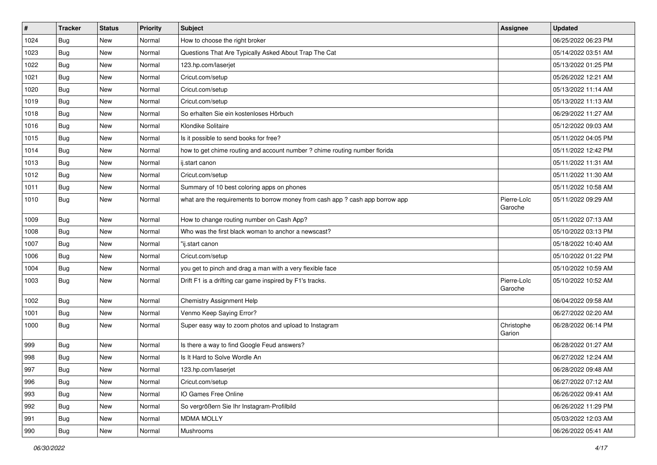| #    | <b>Tracker</b> | <b>Status</b> | <b>Priority</b> | Subject                                                                       | <b>Assignee</b>        | <b>Updated</b>      |
|------|----------------|---------------|-----------------|-------------------------------------------------------------------------------|------------------------|---------------------|
| 1024 | <b>Bug</b>     | New           | Normal          | How to choose the right broker                                                |                        | 06/25/2022 06:23 PM |
| 1023 | <b>Bug</b>     | New           | Normal          | Questions That Are Typically Asked About Trap The Cat                         |                        | 05/14/2022 03:51 AM |
| 1022 | Bug            | New           | Normal          | 123.hp.com/laserjet                                                           |                        | 05/13/2022 01:25 PM |
| 1021 | Bug            | New           | Normal          | Cricut.com/setup                                                              |                        | 05/26/2022 12:21 AM |
| 1020 | Bug            | New           | Normal          | Cricut.com/setup                                                              |                        | 05/13/2022 11:14 AM |
| 1019 | Bug            | New           | Normal          | Cricut.com/setup                                                              |                        | 05/13/2022 11:13 AM |
| 1018 | Bug            | New           | Normal          | So erhalten Sie ein kostenloses Hörbuch                                       |                        | 06/29/2022 11:27 AM |
| 1016 | <b>Bug</b>     | New           | Normal          | Klondike Solitaire                                                            |                        | 05/12/2022 09:03 AM |
| 1015 | Bug            | New           | Normal          | Is it possible to send books for free?                                        |                        | 05/11/2022 04:05 PM |
| 1014 | Bug            | New           | Normal          | how to get chime routing and account number ? chime routing number florida    |                        | 05/11/2022 12:42 PM |
| 1013 | <b>Bug</b>     | New           | Normal          | ij.start canon                                                                |                        | 05/11/2022 11:31 AM |
| 1012 | Bug            | New           | Normal          | Cricut.com/setup                                                              |                        | 05/11/2022 11:30 AM |
| 1011 | Bug            | New           | Normal          | Summary of 10 best coloring apps on phones                                    |                        | 05/11/2022 10:58 AM |
| 1010 | <b>Bug</b>     | New           | Normal          | what are the requirements to borrow money from cash app ? cash app borrow app | Pierre-Loïc<br>Garoche | 05/11/2022 09:29 AM |
| 1009 | <b>Bug</b>     | New           | Normal          | How to change routing number on Cash App?                                     |                        | 05/11/2022 07:13 AM |
| 1008 | <b>Bug</b>     | New           | Normal          | Who was the first black woman to anchor a newscast?                           |                        | 05/10/2022 03:13 PM |
| 1007 | Bug            | New           | Normal          | "ij.start canon                                                               |                        | 05/18/2022 10:40 AM |
| 1006 | <b>Bug</b>     | New           | Normal          | Cricut.com/setup                                                              |                        | 05/10/2022 01:22 PM |
| 1004 | Bug            | New           | Normal          | you get to pinch and drag a man with a very flexible face                     |                        | 05/10/2022 10:59 AM |
| 1003 | Bug            | <b>New</b>    | Normal          | Drift F1 is a drifting car game inspired by F1's tracks.                      | Pierre-Loïc<br>Garoche | 05/10/2022 10:52 AM |
| 1002 | <b>Bug</b>     | New           | Normal          | Chemistry Assignment Help                                                     |                        | 06/04/2022 09:58 AM |
| 1001 | Bug            | New           | Normal          | Venmo Keep Saying Error?                                                      |                        | 06/27/2022 02:20 AM |
| 1000 | <b>Bug</b>     | New           | Normal          | Super easy way to zoom photos and upload to Instagram                         | Christophe<br>Garion   | 06/28/2022 06:14 PM |
| 999  | Bug            | New           | Normal          | Is there a way to find Google Feud answers?                                   |                        | 06/28/2022 01:27 AM |
| 998  | <b>Bug</b>     | New           | Normal          | Is It Hard to Solve Wordle An                                                 |                        | 06/27/2022 12:24 AM |
| 997  | Bug            | New           | Normal          | 123.hp.com/laserjet                                                           |                        | 06/28/2022 09:48 AM |
| 996  | <b>Bug</b>     | New           | Normal          | Cricut.com/setup                                                              |                        | 06/27/2022 07:12 AM |
| 993  | <b>Bug</b>     | New           | Normal          | IO Games Free Online                                                          |                        | 06/26/2022 09:41 AM |
| 992  | <b>Bug</b>     | New           | Normal          | So vergrößern Sie Ihr Instagram-Profilbild                                    |                        | 06/26/2022 11:29 PM |
| 991  | <b>Bug</b>     | New           | Normal          | <b>MDMA MOLLY</b>                                                             |                        | 05/03/2022 12:03 AM |
| 990  | <b>Bug</b>     | New           | Normal          | Mushrooms                                                                     |                        | 06/26/2022 05:41 AM |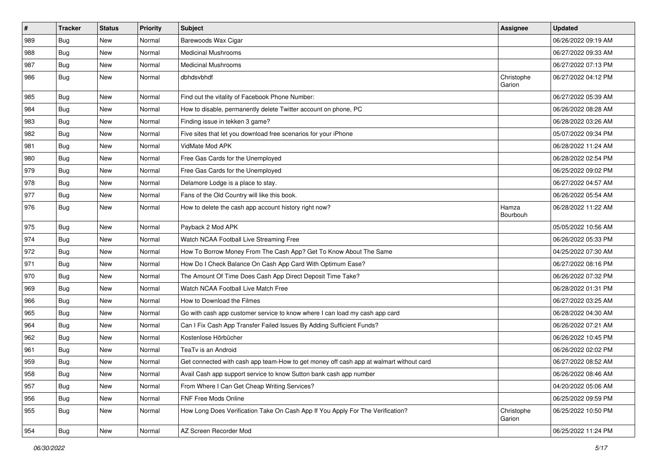| $\sharp$ | <b>Tracker</b> | <b>Status</b> | <b>Priority</b> | Subject                                                                                | <b>Assignee</b>      | <b>Updated</b>      |
|----------|----------------|---------------|-----------------|----------------------------------------------------------------------------------------|----------------------|---------------------|
| 989      | <b>Bug</b>     | New           | Normal          | Barewoods Wax Cigar                                                                    |                      | 06/26/2022 09:19 AM |
| 988      | Bug            | <b>New</b>    | Normal          | <b>Medicinal Mushrooms</b>                                                             |                      | 06/27/2022 09:33 AM |
| 987      | <b>Bug</b>     | New           | Normal          | <b>Medicinal Mushrooms</b>                                                             |                      | 06/27/2022 07:13 PM |
| 986      | Bug            | New           | Normal          | dbhdsvbhdf                                                                             | Christophe<br>Garion | 06/27/2022 04:12 PM |
| 985      | <b>Bug</b>     | <b>New</b>    | Normal          | Find out the vitality of Facebook Phone Number:                                        |                      | 06/27/2022 05:39 AM |
| 984      | <b>Bug</b>     | <b>New</b>    | Normal          | How to disable, permanently delete Twitter account on phone, PC                        |                      | 06/26/2022 08:28 AM |
| 983      | <b>Bug</b>     | New           | Normal          | Finding issue in tekken 3 game?                                                        |                      | 06/28/2022 03:26 AM |
| 982      | <b>Bug</b>     | New           | Normal          | Five sites that let you download free scenarios for your iPhone                        |                      | 05/07/2022 09:34 PM |
| 981      | <b>Bug</b>     | <b>New</b>    | Normal          | VidMate Mod APK                                                                        |                      | 06/28/2022 11:24 AM |
| 980      | Bug            | New           | Normal          | Free Gas Cards for the Unemployed                                                      |                      | 06/28/2022 02:54 PM |
| 979      | <b>Bug</b>     | New           | Normal          | Free Gas Cards for the Unemployed                                                      |                      | 06/25/2022 09:02 PM |
| 978      | <b>Bug</b>     | <b>New</b>    | Normal          | Delamore Lodge is a place to stay.                                                     |                      | 06/27/2022 04:57 AM |
| 977      | Bug            | New           | Normal          | Fans of the Old Country will like this book.                                           |                      | 06/26/2022 05:54 AM |
| 976      | Bug            | New           | Normal          | How to delete the cash app account history right now?                                  | Hamza<br>Bourbouh    | 06/28/2022 11:22 AM |
| 975      | Bug            | <b>New</b>    | Normal          | Payback 2 Mod APK                                                                      |                      | 05/05/2022 10:56 AM |
| 974      | <b>Bug</b>     | <b>New</b>    | Normal          | Watch NCAA Football Live Streaming Free                                                |                      | 06/26/2022 05:33 PM |
| 972      | Bug            | New           | Normal          | How To Borrow Money From The Cash App? Get To Know About The Same                      |                      | 04/25/2022 07:30 AM |
| 971      | Bug            | <b>New</b>    | Normal          | How Do I Check Balance On Cash App Card With Optimum Ease?                             |                      | 06/27/2022 08:16 PM |
| 970      | <b>Bug</b>     | <b>New</b>    | Normal          | The Amount Of Time Does Cash App Direct Deposit Time Take?                             |                      | 06/26/2022 07:32 PM |
| 969      | <b>Bug</b>     | <b>New</b>    | Normal          | Watch NCAA Football Live Match Free                                                    |                      | 06/28/2022 01:31 PM |
| 966      | Bug            | <b>New</b>    | Normal          | How to Download the Filmes                                                             |                      | 06/27/2022 03:25 AM |
| 965      | <b>Bug</b>     | New           | Normal          | Go with cash app customer service to know where I can load my cash app card            |                      | 06/28/2022 04:30 AM |
| 964      | <b>Bug</b>     | New           | Normal          | Can I Fix Cash App Transfer Failed Issues By Adding Sufficient Funds?                  |                      | 06/26/2022 07:21 AM |
| 962      | Bug            | <b>New</b>    | Normal          | Kostenlose Hörbücher                                                                   |                      | 06/26/2022 10:45 PM |
| 961      | <b>Bug</b>     | New           | Normal          | TeaTv is an Android                                                                    |                      | 06/26/2022 02:02 PM |
| 959      | <b>Bug</b>     | New           | Normal          | Get connected with cash app team-How to get money off cash app at walmart without card |                      | 06/27/2022 08:52 AM |
| 958      | Bug            | New           | Normal          | Avail Cash app support service to know Sutton bank cash app number                     |                      | 06/26/2022 08:46 AM |
| 957      | Bug            | New           | Normal          | From Where I Can Get Cheap Writing Services?                                           |                      | 04/20/2022 05:06 AM |
| 956      | Bug            | New           | Normal          | FNF Free Mods Online                                                                   |                      | 06/25/2022 09:59 PM |
| 955      | <b>Bug</b>     | New           | Normal          | How Long Does Verification Take On Cash App If You Apply For The Verification?         | Christophe<br>Garion | 06/25/2022 10:50 PM |
| 954      | <b>Bug</b>     | New           | Normal          | AZ Screen Recorder Mod                                                                 |                      | 06/25/2022 11:24 PM |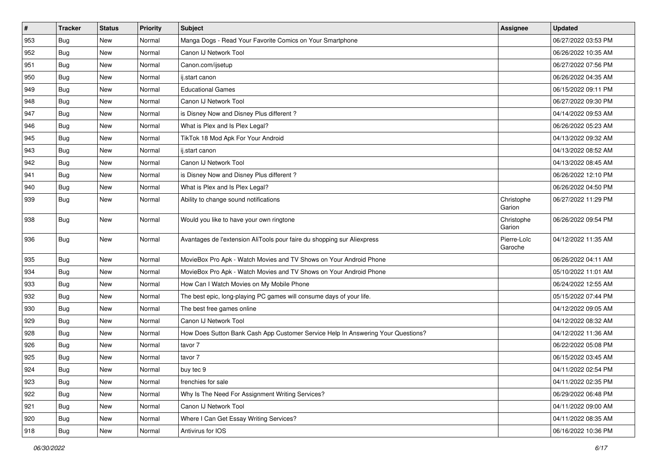| $\vert$ #     | <b>Tracker</b> | <b>Status</b> | <b>Priority</b> | <b>Subject</b>                                                                   | Assignee               | <b>Updated</b>      |
|---------------|----------------|---------------|-----------------|----------------------------------------------------------------------------------|------------------------|---------------------|
| 953           | <b>Bug</b>     | New           | Normal          | Manga Dogs - Read Your Favorite Comics on Your Smartphone                        |                        | 06/27/2022 03:53 PM |
| 952           | <b>Bug</b>     | <b>New</b>    | Normal          | Canon IJ Network Tool                                                            |                        | 06/26/2022 10:35 AM |
| 951           | Bug            | New           | Normal          | Canon.com/ijsetup                                                                |                        | 06/27/2022 07:56 PM |
| 950           | <b>Bug</b>     | New           | Normal          | ij.start canon                                                                   |                        | 06/26/2022 04:35 AM |
| 949           | <b>Bug</b>     | <b>New</b>    | Normal          | <b>Educational Games</b>                                                         |                        | 06/15/2022 09:11 PM |
| 948           | <b>Bug</b>     | New           | Normal          | Canon IJ Network Tool                                                            |                        | 06/27/2022 09:30 PM |
| 947           | <b>Bug</b>     | New           | Normal          | is Disney Now and Disney Plus different?                                         |                        | 04/14/2022 09:53 AM |
| 946           | <b>Bug</b>     | New           | Normal          | What is Plex and Is Plex Legal?                                                  |                        | 06/26/2022 05:23 AM |
| 945           | <b>Bug</b>     | New           | Normal          | TikTok 18 Mod Apk For Your Android                                               |                        | 04/13/2022 09:32 AM |
| 943           | Bug            | <b>New</b>    | Normal          | ij.start canon                                                                   |                        | 04/13/2022 08:52 AM |
| 942           | <b>Bug</b>     | New           | Normal          | Canon IJ Network Tool                                                            |                        | 04/13/2022 08:45 AM |
| 941           | Bug            | New           | Normal          | is Disney Now and Disney Plus different?                                         |                        | 06/26/2022 12:10 PM |
| 940           | Bug            | <b>New</b>    | Normal          | What is Plex and Is Plex Legal?                                                  |                        | 06/26/2022 04:50 PM |
| 939           | Bug            | New           | Normal          | Ability to change sound notifications                                            | Christophe<br>Garion   | 06/27/2022 11:29 PM |
| 938           | Bug            | <b>New</b>    | Normal          | Would you like to have your own ringtone                                         | Christophe<br>Garion   | 06/26/2022 09:54 PM |
| 936           | Bug            | <b>New</b>    | Normal          | Avantages de l'extension AliTools pour faire du shopping sur Aliexpress          | Pierre-Loïc<br>Garoche | 04/12/2022 11:35 AM |
| 935           | <b>Bug</b>     | <b>New</b>    | Normal          | MovieBox Pro Apk - Watch Movies and TV Shows on Your Android Phone               |                        | 06/26/2022 04:11 AM |
| 934           | Bug            | <b>New</b>    | Normal          | MovieBox Pro Apk - Watch Movies and TV Shows on Your Android Phone               |                        | 05/10/2022 11:01 AM |
| 933           | <b>Bug</b>     | New           | Normal          | How Can I Watch Movies on My Mobile Phone                                        |                        | 06/24/2022 12:55 AM |
| 932           | <b>Bug</b>     | New           | Normal          | The best epic, long-playing PC games will consume days of your life.             |                        | 05/15/2022 07:44 PM |
| 930           | <b>Bug</b>     | New           | Normal          | The best free games online                                                       |                        | 04/12/2022 09:05 AM |
| 929           | Bug            | New           | Normal          | Canon IJ Network Tool                                                            |                        | 04/12/2022 08:32 AM |
| 928           | Bug            | <b>New</b>    | Normal          | How Does Sutton Bank Cash App Customer Service Help In Answering Your Questions? |                        | 04/12/2022 11:36 AM |
| 926           | <b>Bug</b>     | New           | Normal          | tavor 7                                                                          |                        | 06/22/2022 05:08 PM |
| 925           | <b>Bug</b>     | New           | Normal          | tavor 7                                                                          |                        | 06/15/2022 03:45 AM |
| 924           | Bug            | New           | Normal          | buy tec 9                                                                        |                        | 04/11/2022 02:54 PM |
| 923           | <b>Bug</b>     | New           | Normal          | frenchies for sale                                                               |                        | 04/11/2022 02:35 PM |
| 922           | <b>Bug</b>     | New           | Normal          | Why Is The Need For Assignment Writing Services?                                 |                        | 06/29/2022 06:48 PM |
| 921           | <b>Bug</b>     | New           | Normal          | Canon IJ Network Tool                                                            |                        | 04/11/2022 09:00 AM |
| $ 920\rangle$ | Bug            | New           | Normal          | Where I Can Get Essay Writing Services?                                          |                        | 04/11/2022 08:35 AM |
| 918           | Bug            | New           | Normal          | Antivirus for IOS                                                                |                        | 06/16/2022 10:36 PM |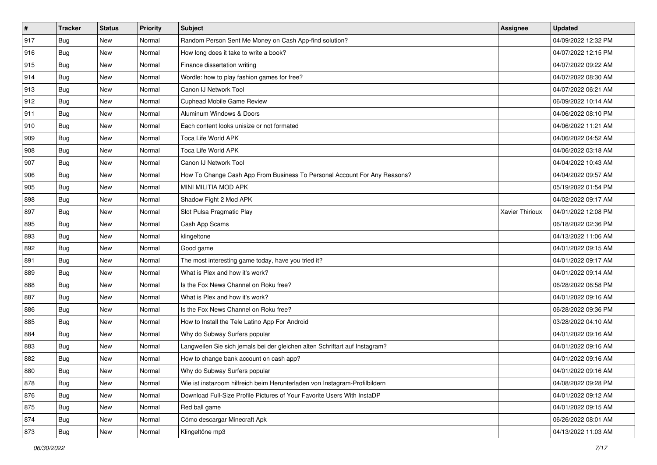| $\vert$ # | <b>Tracker</b> | <b>Status</b> | <b>Priority</b> | <b>Subject</b>                                                              | Assignee        | <b>Updated</b>      |
|-----------|----------------|---------------|-----------------|-----------------------------------------------------------------------------|-----------------|---------------------|
| 917       | Bug            | New           | Normal          | Random Person Sent Me Money on Cash App-find solution?                      |                 | 04/09/2022 12:32 PM |
| 916       | <b>Bug</b>     | New           | Normal          | How long does it take to write a book?                                      |                 | 04/07/2022 12:15 PM |
| 915       | <b>Bug</b>     | New           | Normal          | Finance dissertation writing                                                |                 | 04/07/2022 09:22 AM |
| 914       | <b>Bug</b>     | New           | Normal          | Wordle: how to play fashion games for free?                                 |                 | 04/07/2022 08:30 AM |
| 913       | Bug            | <b>New</b>    | Normal          | Canon IJ Network Tool                                                       |                 | 04/07/2022 06:21 AM |
| 912       | <b>Bug</b>     | New           | Normal          | <b>Cuphead Mobile Game Review</b>                                           |                 | 06/09/2022 10:14 AM |
| 911       | <b>Bug</b>     | New           | Normal          | Aluminum Windows & Doors                                                    |                 | 04/06/2022 08:10 PM |
| 910       | <b>Bug</b>     | New           | Normal          | Each content looks unisize or not formated                                  |                 | 04/06/2022 11:21 AM |
| 909       | Bug            | New           | Normal          | Toca Life World APK                                                         |                 | 04/06/2022 04:52 AM |
| 908       | Bug            | <b>New</b>    | Normal          | Toca Life World APK                                                         |                 | 04/06/2022 03:18 AM |
| 907       | <b>Bug</b>     | New           | Normal          | Canon IJ Network Tool                                                       |                 | 04/04/2022 10:43 AM |
| 906       | <b>Bug</b>     | New           | Normal          | How To Change Cash App From Business To Personal Account For Any Reasons?   |                 | 04/04/2022 09:57 AM |
| 905       | Bug            | New           | Normal          | MINI MILITIA MOD APK                                                        |                 | 05/19/2022 01:54 PM |
| 898       | Bug            | New           | Normal          | Shadow Fight 2 Mod APK                                                      |                 | 04/02/2022 09:17 AM |
| 897       | Bug            | New           | Normal          | Slot Pulsa Pragmatic Play                                                   | Xavier Thirioux | 04/01/2022 12:08 PM |
| 895       | Bug            | New           | Normal          | Cash App Scams                                                              |                 | 06/18/2022 02:36 PM |
| 893       | <b>Bug</b>     | New           | Normal          | klingeltone                                                                 |                 | 04/13/2022 11:06 AM |
| 892       | <b>Bug</b>     | <b>New</b>    | Normal          | Good game                                                                   |                 | 04/01/2022 09:15 AM |
| 891       | <b>Bug</b>     | New           | Normal          | The most interesting game today, have you tried it?                         |                 | 04/01/2022 09:17 AM |
| 889       | <b>Bug</b>     | New           | Normal          | What is Plex and how it's work?                                             |                 | 04/01/2022 09:14 AM |
| 888       | <b>Bug</b>     | New           | Normal          | Is the Fox News Channel on Roku free?                                       |                 | 06/28/2022 06:58 PM |
| 887       | <b>Bug</b>     | New           | Normal          | What is Plex and how it's work?                                             |                 | 04/01/2022 09:16 AM |
| 886       | Bug            | <b>New</b>    | Normal          | Is the Fox News Channel on Roku free?                                       |                 | 06/28/2022 09:36 PM |
| 885       | <b>Bug</b>     | New           | Normal          | How to Install the Tele Latino App For Android                              |                 | 03/28/2022 04:10 AM |
| 884       | <b>Bug</b>     | New           | Normal          | Why do Subway Surfers popular                                               |                 | 04/01/2022 09:16 AM |
| 883       | Bug            | New           | Normal          | Langweilen Sie sich jemals bei der gleichen alten Schriftart auf Instagram? |                 | 04/01/2022 09:16 AM |
| 882       | <b>Bug</b>     | New           | Normal          | How to change bank account on cash app?                                     |                 | 04/01/2022 09:16 AM |
| 880       | <b>Bug</b>     | New           | Normal          | Why do Subway Surfers popular                                               |                 | 04/01/2022 09:16 AM |
| 878       | Bug            | New           | Normal          | Wie ist instazoom hilfreich beim Herunterladen von Instagram-Profilbildern  |                 | 04/08/2022 09:28 PM |
| 876       | <b>Bug</b>     | New           | Normal          | Download Full-Size Profile Pictures of Your Favorite Users With InstaDP     |                 | 04/01/2022 09:12 AM |
| 875       | <b>Bug</b>     | New           | Normal          | Red ball game                                                               |                 | 04/01/2022 09:15 AM |
| 874       | Bug            | New           | Normal          | Cómo descargar Minecraft Apk                                                |                 | 06/26/2022 08:01 AM |
| 873       | <b>Bug</b>     | New           | Normal          | Klingeltöne mp3                                                             |                 | 04/13/2022 11:03 AM |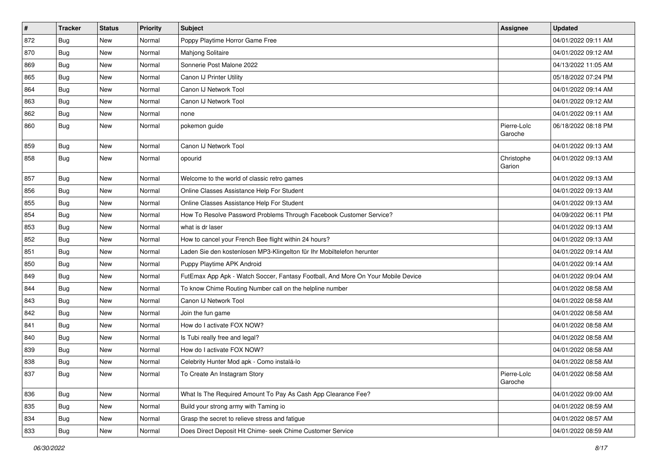| $\pmb{\#}$ | <b>Tracker</b> | <b>Status</b> | <b>Priority</b> | Subject                                                                          | <b>Assignee</b>        | <b>Updated</b>      |
|------------|----------------|---------------|-----------------|----------------------------------------------------------------------------------|------------------------|---------------------|
| 872        | <b>Bug</b>     | New           | Normal          | Poppy Playtime Horror Game Free                                                  |                        | 04/01/2022 09:11 AM |
| 870        | <b>Bug</b>     | <b>New</b>    | Normal          | Mahjong Solitaire                                                                |                        | 04/01/2022 09:12 AM |
| 869        | <b>Bug</b>     | New           | Normal          | Sonnerie Post Malone 2022                                                        |                        | 04/13/2022 11:05 AM |
| 865        | Bug            | New           | Normal          | Canon IJ Printer Utility                                                         |                        | 05/18/2022 07:24 PM |
| 864        | <b>Bug</b>     | New           | Normal          | Canon IJ Network Tool                                                            |                        | 04/01/2022 09:14 AM |
| 863        | <b>Bug</b>     | New           | Normal          | Canon IJ Network Tool                                                            |                        | 04/01/2022 09:12 AM |
| 862        | <b>Bug</b>     | New           | Normal          | none                                                                             |                        | 04/01/2022 09:11 AM |
| 860        | <b>Bug</b>     | New           | Normal          | pokemon guide                                                                    | Pierre-Loïc<br>Garoche | 06/18/2022 08:18 PM |
| 859        | Bug            | New           | Normal          | Canon IJ Network Tool                                                            |                        | 04/01/2022 09:13 AM |
| 858        | Bug            | New           | Normal          | opourid                                                                          | Christophe<br>Garion   | 04/01/2022 09:13 AM |
| 857        | Bug            | New           | Normal          | Welcome to the world of classic retro games                                      |                        | 04/01/2022 09:13 AM |
| 856        | <b>Bug</b>     | <b>New</b>    | Normal          | Online Classes Assistance Help For Student                                       |                        | 04/01/2022 09:13 AM |
| 855        | <b>Bug</b>     | <b>New</b>    | Normal          | Online Classes Assistance Help For Student                                       |                        | 04/01/2022 09:13 AM |
| 854        | <b>Bug</b>     | New           | Normal          | How To Resolve Password Problems Through Facebook Customer Service?              |                        | 04/09/2022 06:11 PM |
| 853        | <b>Bug</b>     | <b>New</b>    | Normal          | what is dr laser                                                                 |                        | 04/01/2022 09:13 AM |
| 852        | Bug            | <b>New</b>    | Normal          | How to cancel your French Bee flight within 24 hours?                            |                        | 04/01/2022 09:13 AM |
| 851        | <b>Bug</b>     | <b>New</b>    | Normal          | Laden Sie den kostenlosen MP3-Klingelton für Ihr Mobiltelefon herunter           |                        | 04/01/2022 09:14 AM |
| 850        | Bug            | <b>New</b>    | Normal          | Puppy Playtime APK Android                                                       |                        | 04/01/2022 09:14 AM |
| 849        | <b>Bug</b>     | <b>New</b>    | Normal          | FutEmax App Apk - Watch Soccer, Fantasy Football, And More On Your Mobile Device |                        | 04/01/2022 09:04 AM |
| 844        | <b>Bug</b>     | <b>New</b>    | Normal          | To know Chime Routing Number call on the helpline number                         |                        | 04/01/2022 08:58 AM |
| 843        | Bug            | <b>New</b>    | Normal          | Canon IJ Network Tool                                                            |                        | 04/01/2022 08:58 AM |
| 842        | <b>Bug</b>     | New           | Normal          | Join the fun game                                                                |                        | 04/01/2022 08:58 AM |
| 841        | <b>Bug</b>     | New           | Normal          | How do I activate FOX NOW?                                                       |                        | 04/01/2022 08:58 AM |
| 840        | <b>Bug</b>     | <b>New</b>    | Normal          | Is Tubi really free and legal?                                                   |                        | 04/01/2022 08:58 AM |
| 839        | <b>Bug</b>     | <b>New</b>    | Normal          | How do I activate FOX NOW?                                                       |                        | 04/01/2022 08:58 AM |
| 838        | <b>Bug</b>     | <b>New</b>    | Normal          | Celebrity Hunter Mod apk - Como instalá-lo                                       |                        | 04/01/2022 08:58 AM |
| 837        | <b>Bug</b>     | New           | Normal          | To Create An Instagram Story                                                     | Pierre-Loïc<br>Garoche | 04/01/2022 08:58 AM |
| 836        | Bug            | New           | Normal          | What Is The Required Amount To Pay As Cash App Clearance Fee?                    |                        | 04/01/2022 09:00 AM |
| 835        | Bug            | New           | Normal          | Build your strong army with Taming io                                            |                        | 04/01/2022 08:59 AM |
| 834        | <b>Bug</b>     | New           | Normal          | Grasp the secret to relieve stress and fatigue                                   |                        | 04/01/2022 08:57 AM |
| 833        | Bug            | New           | Normal          | Does Direct Deposit Hit Chime- seek Chime Customer Service                       |                        | 04/01/2022 08:59 AM |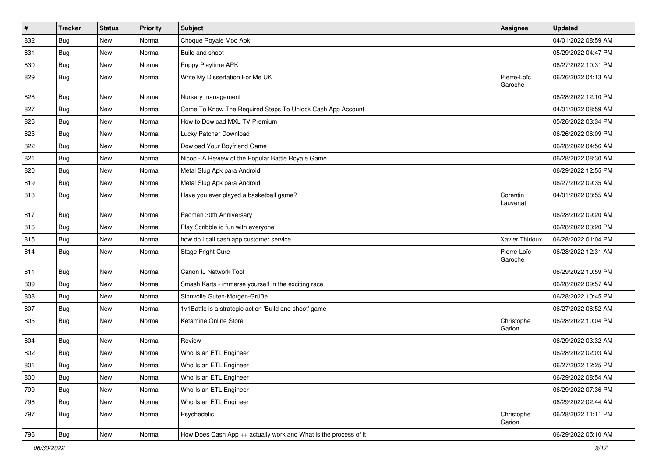| $\sharp$ | <b>Tracker</b> | <b>Status</b> | <b>Priority</b> | <b>Subject</b>                                                   | Assignee               | <b>Updated</b>      |
|----------|----------------|---------------|-----------------|------------------------------------------------------------------|------------------------|---------------------|
| 832      | <b>Bug</b>     | New           | Normal          | Choque Royale Mod Apk                                            |                        | 04/01/2022 08:59 AM |
| 831      | Bug            | <b>New</b>    | Normal          | Build and shoot                                                  |                        | 05/29/2022 04:47 PM |
| 830      | Bug            | New           | Normal          | Poppy Playtime APK                                               |                        | 06/27/2022 10:31 PM |
| 829      | Bug            | New           | Normal          | Write My Dissertation For Me UK                                  | Pierre-Loïc<br>Garoche | 06/26/2022 04:13 AM |
| 828      | Bug            | New           | Normal          | Nursery management                                               |                        | 06/28/2022 12:10 PM |
| 827      | <b>Bug</b>     | <b>New</b>    | Normal          | Come To Know The Required Steps To Unlock Cash App Account       |                        | 04/01/2022 08:59 AM |
| 826      | <b>Bug</b>     | <b>New</b>    | Normal          | How to Dowload MXL TV Premium                                    |                        | 05/26/2022 03:34 PM |
| 825      | Bug            | <b>New</b>    | Normal          | Lucky Patcher Download                                           |                        | 06/26/2022 06:09 PM |
| 822      | <b>Bug</b>     | <b>New</b>    | Normal          | Dowload Your Boyfriend Game                                      |                        | 06/28/2022 04:56 AM |
| 821      | Bug            | New           | Normal          | Nicoo - A Review of the Popular Battle Royale Game               |                        | 06/28/2022 08:30 AM |
| 820      | Bug            | New           | Normal          | Metal Slug Apk para Android                                      |                        | 06/29/2022 12:55 PM |
| 819      | Bug            | <b>New</b>    | Normal          | Metal Slug Apk para Android                                      |                        | 06/27/2022 09:35 AM |
| 818      | Bug            | New           | Normal          | Have you ever played a basketball game?                          | Corentin<br>Lauverjat  | 04/01/2022 08:55 AM |
| 817      | <b>Bug</b>     | <b>New</b>    | Normal          | Pacman 30th Anniversary                                          |                        | 06/28/2022 09:20 AM |
| 816      | Bug            | <b>New</b>    | Normal          | Play Scribble io fun with everyone                               |                        | 06/28/2022 03:20 PM |
| 815      | Bug            | <b>New</b>    | Normal          | how do i call cash app customer service                          | Xavier Thirioux        | 06/28/2022 01:04 PM |
| 814      | Bug            | New           | Normal          | Stage Fright Cure                                                | Pierre-Loïc<br>Garoche | 06/28/2022 12:31 AM |
| 811      | Bug            | <b>New</b>    | Normal          | Canon IJ Network Tool                                            |                        | 06/29/2022 10:59 PM |
| 809      | Bug            | <b>New</b>    | Normal          | Smash Karts - immerse yourself in the exciting race              |                        | 06/28/2022 09:57 AM |
| 808      | Bug            | <b>New</b>    | Normal          | Sinnvolle Guten-Morgen-Grüße                                     |                        | 06/28/2022 10:45 PM |
| 807      | Bug            | New           | Normal          | 1v1Battle is a strategic action 'Build and shoot' game           |                        | 06/27/2022 06:52 AM |
| 805      | Bug            | New           | Normal          | Ketamine Online Store                                            | Christophe<br>Garion   | 06/28/2022 10:04 PM |
| 804      | Bug            | <b>New</b>    | Normal          | Review                                                           |                        | 06/29/2022 03:32 AM |
| 802      | <b>Bug</b>     | New           | Normal          | Who Is an ETL Engineer                                           |                        | 06/28/2022 02:03 AM |
| 801      | <b>Bug</b>     | New           | Normal          | Who Is an ETL Engineer                                           |                        | 06/27/2022 12:25 PM |
| 800      | <b>Bug</b>     | New           | Normal          | Who Is an ETL Engineer                                           |                        | 06/29/2022 08:54 AM |
| 799      | Bug            | New           | Normal          | Who Is an ETL Engineer                                           |                        | 06/29/2022 07:36 PM |
| 798      | Bug            | New           | Normal          | Who Is an ETL Engineer                                           |                        | 06/29/2022 02:44 AM |
| 797      | <b>Bug</b>     | New           | Normal          | Psychedelic                                                      | Christophe<br>Garion   | 06/28/2022 11:11 PM |
| 796      | <b>Bug</b>     | New           | Normal          | How Does Cash App ++ actually work and What is the process of it |                        | 06/29/2022 05:10 AM |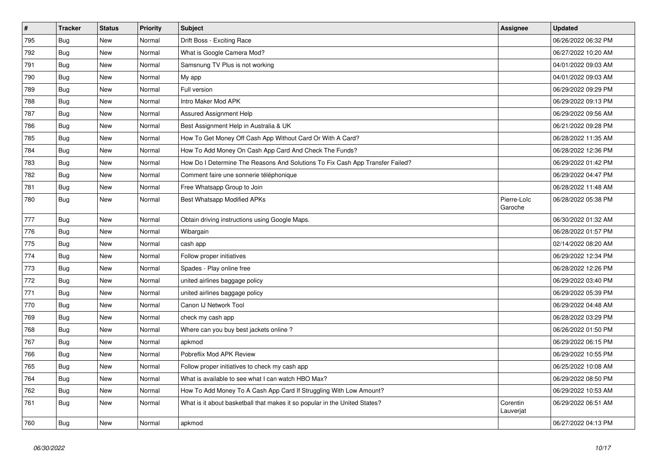| $\vert$ # | <b>Tracker</b> | <b>Status</b> | <b>Priority</b> | <b>Subject</b>                                                                | <b>Assignee</b>        | <b>Updated</b>      |
|-----------|----------------|---------------|-----------------|-------------------------------------------------------------------------------|------------------------|---------------------|
| 795       | <b>Bug</b>     | <b>New</b>    | Normal          | Drift Boss - Exciting Race                                                    |                        | 06/26/2022 06:32 PM |
| 792       | <b>Bug</b>     | <b>New</b>    | Normal          | What is Google Camera Mod?                                                    |                        | 06/27/2022 10:20 AM |
| 791       | Bug            | New           | Normal          | Samsnung TV Plus is not working                                               |                        | 04/01/2022 09:03 AM |
| 790       | <b>Bug</b>     | <b>New</b>    | Normal          | My app                                                                        |                        | 04/01/2022 09:03 AM |
| 789       | Bug            | New           | Normal          | Full version                                                                  |                        | 06/29/2022 09:29 PM |
| 788       | <b>Bug</b>     | <b>New</b>    | Normal          | Intro Maker Mod APK                                                           |                        | 06/29/2022 09:13 PM |
| 787       | Bug            | New           | Normal          | Assured Assignment Help                                                       |                        | 06/29/2022 09:56 AM |
| 786       | Bug            | New           | Normal          | Best Assignment Help in Australia & UK                                        |                        | 06/21/2022 09:28 PM |
| 785       | Bug            | New           | Normal          | How To Get Money Off Cash App Without Card Or With A Card?                    |                        | 06/28/2022 11:35 AM |
| 784       | Bug            | New           | Normal          | How To Add Money On Cash App Card And Check The Funds?                        |                        | 06/28/2022 12:36 PM |
| 783       | Bug            | New           | Normal          | How Do I Determine The Reasons And Solutions To Fix Cash App Transfer Failed? |                        | 06/29/2022 01:42 PM |
| 782       | Bug            | <b>New</b>    | Normal          | Comment faire une sonnerie téléphonique                                       |                        | 06/29/2022 04:47 PM |
| 781       | Bug            | <b>New</b>    | Normal          | Free Whatsapp Group to Join                                                   |                        | 06/28/2022 11:48 AM |
| 780       | <b>Bug</b>     | <b>New</b>    | Normal          | Best Whatsapp Modified APKs                                                   | Pierre-Loïc<br>Garoche | 06/28/2022 05:38 PM |
| 777       | Bug            | New           | Normal          | Obtain driving instructions using Google Maps.                                |                        | 06/30/2022 01:32 AM |
| 776       | <b>Bug</b>     | <b>New</b>    | Normal          | Wibargain                                                                     |                        | 06/28/2022 01:57 PM |
| 775       | <b>Bug</b>     | <b>New</b>    | Normal          | cash app                                                                      |                        | 02/14/2022 08:20 AM |
| 774       | Bug            | <b>New</b>    | Normal          | Follow proper initiatives                                                     |                        | 06/29/2022 12:34 PM |
| 773       | Bug            | <b>New</b>    | Normal          | Spades - Play online free                                                     |                        | 06/28/2022 12:26 PM |
| 772       | Bug            | <b>New</b>    | Normal          | united airlines baggage policy                                                |                        | 06/29/2022 03:40 PM |
| 771       | <b>Bug</b>     | <b>New</b>    | Normal          | united airlines baggage policy                                                |                        | 06/29/2022 05:39 PM |
| 770       | Bug            | <b>New</b>    | Normal          | Canon IJ Network Tool                                                         |                        | 06/29/2022 04:48 AM |
| 769       | Bug            | New           | Normal          | check my cash app                                                             |                        | 06/28/2022 03:29 PM |
| 768       | Bug            | New           | Normal          | Where can you buy best jackets online?                                        |                        | 06/26/2022 01:50 PM |
| 767       | Bug            | <b>New</b>    | Normal          | apkmod                                                                        |                        | 06/29/2022 06:15 PM |
| 766       | Bug            | New           | Normal          | Pobreflix Mod APK Review                                                      |                        | 06/29/2022 10:55 PM |
| 765       | Bug            | New           | Normal          | Follow proper initiatives to check my cash app                                |                        | 06/25/2022 10:08 AM |
| 764       | Bug            | New           | Normal          | What is available to see what I can watch HBO Max?                            |                        | 06/29/2022 08:50 PM |
| 762       | <b>Bug</b>     | <b>New</b>    | Normal          | How To Add Money To A Cash App Card If Struggling With Low Amount?            |                        | 06/29/2022 10:53 AM |
| 761       | <b>Bug</b>     | New           | Normal          | What is it about basketball that makes it so popular in the United States?    | Corentin<br>Lauverjat  | 06/29/2022 06:51 AM |
| 760       | <b>Bug</b>     | <b>New</b>    | Normal          | apkmod                                                                        |                        | 06/27/2022 04:13 PM |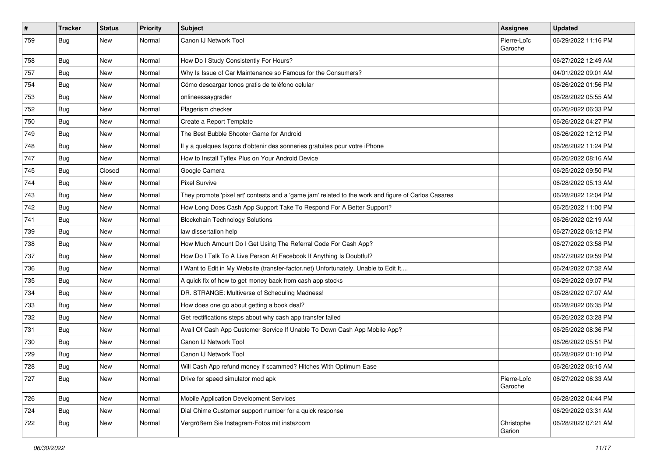| $\sharp$ | <b>Tracker</b> | <b>Status</b> | <b>Priority</b> | <b>Subject</b>                                                                                      | <b>Assignee</b>        | <b>Updated</b>      |
|----------|----------------|---------------|-----------------|-----------------------------------------------------------------------------------------------------|------------------------|---------------------|
| 759      | Bug            | New           | Normal          | Canon IJ Network Tool                                                                               | Pierre-Loïc<br>Garoche | 06/29/2022 11:16 PM |
| 758      | <b>Bug</b>     | New           | Normal          | How Do I Study Consistently For Hours?                                                              |                        | 06/27/2022 12:49 AM |
| 757      | <b>Bug</b>     | New           | Normal          | Why Is Issue of Car Maintenance so Famous for the Consumers?                                        |                        | 04/01/2022 09:01 AM |
| 754      | Bug            | <b>New</b>    | Normal          | Cómo descargar tonos gratis de teléfono celular                                                     |                        | 06/26/2022 01:56 PM |
| 753      | <b>Bug</b>     | New           | Normal          | onlineessaygrader                                                                                   |                        | 06/28/2022 05:55 AM |
| 752      | <b>Bug</b>     | <b>New</b>    | Normal          | Plagerism checker                                                                                   |                        | 06/26/2022 06:33 PM |
| 750      | Bug            | New           | Normal          | Create a Report Template                                                                            |                        | 06/26/2022 04:27 PM |
| 749      | Bug            | New           | Normal          | The Best Bubble Shooter Game for Android                                                            |                        | 06/26/2022 12:12 PM |
| 748      | Bug            | <b>New</b>    | Normal          | Il y a quelques façons d'obtenir des sonneries gratuites pour votre iPhone                          |                        | 06/26/2022 11:24 PM |
| 747      | Bug            | New           | Normal          | How to Install Tyflex Plus on Your Android Device                                                   |                        | 06/26/2022 08:16 AM |
| 745      | <b>Bug</b>     | Closed        | Normal          | Google Camera                                                                                       |                        | 06/25/2022 09:50 PM |
| 744      | <b>Bug</b>     | <b>New</b>    | Normal          | <b>Pixel Survive</b>                                                                                |                        | 06/28/2022 05:13 AM |
| 743      | Bug            | New           | Normal          | They promote 'pixel art' contests and a 'game jam' related to the work and figure of Carlos Casares |                        | 06/28/2022 12:04 PM |
| 742      | Bug            | <b>New</b>    | Normal          | How Long Does Cash App Support Take To Respond For A Better Support?                                |                        | 06/25/2022 11:00 PM |
| 741      | <b>Bug</b>     | New           | Normal          | <b>Blockchain Technology Solutions</b>                                                              |                        | 06/26/2022 02:19 AM |
| 739      | Bug            | New           | Normal          | law dissertation help                                                                               |                        | 06/27/2022 06:12 PM |
| 738      | Bug            | <b>New</b>    | Normal          | How Much Amount Do I Get Using The Referral Code For Cash App?                                      |                        | 06/27/2022 03:58 PM |
| 737      | <b>Bug</b>     | New           | Normal          | How Do I Talk To A Live Person At Facebook If Anything Is Doubtful?                                 |                        | 06/27/2022 09:59 PM |
| 736      | Bug            | New           | Normal          | I Want to Edit in My Website (transfer-factor.net) Unfortunately, Unable to Edit It                 |                        | 06/24/2022 07:32 AM |
| 735      | <b>Bug</b>     | New           | Normal          | A quick fix of how to get money back from cash app stocks                                           |                        | 06/29/2022 09:07 PM |
| 734      | <b>Bug</b>     | <b>New</b>    | Normal          | DR. STRANGE: Multiverse of Scheduling Madness!                                                      |                        | 06/28/2022 07:07 AM |
| 733      | Bug            | <b>New</b>    | Normal          | How does one go about getting a book deal?                                                          |                        | 06/28/2022 06:35 PM |
| 732      | <b>Bug</b>     | New           | Normal          | Get rectifications steps about why cash app transfer failed                                         |                        | 06/26/2022 03:28 PM |
| 731      | <b>Bug</b>     | New           | Normal          | Avail Of Cash App Customer Service If Unable To Down Cash App Mobile App?                           |                        | 06/25/2022 08:36 PM |
| 730      | <b>Bug</b>     | New           | Normal          | Canon IJ Network Tool                                                                               |                        | 06/26/2022 05:51 PM |
| 729      | Bug            | New           | Normal          | Canon IJ Network Tool                                                                               |                        | 06/28/2022 01:10 PM |
| 728      | <b>Bug</b>     | New           | Normal          | Will Cash App refund money if scammed? Hitches With Optimum Ease                                    |                        | 06/26/2022 06:15 AM |
| 727      | Bug            | New           | Normal          | Drive for speed simulator mod apk                                                                   | Pierre-Loïc<br>Garoche | 06/27/2022 06:33 AM |
| 726      | Bug            | New           | Normal          | Mobile Application Development Services                                                             |                        | 06/28/2022 04:44 PM |
| 724      | <b>Bug</b>     | New           | Normal          | Dial Chime Customer support number for a quick response                                             |                        | 06/29/2022 03:31 AM |
| 722      | <b>Bug</b>     | New           | Normal          | Vergrößern Sie Instagram-Fotos mit instazoom                                                        | Christophe<br>Garion   | 06/28/2022 07:21 AM |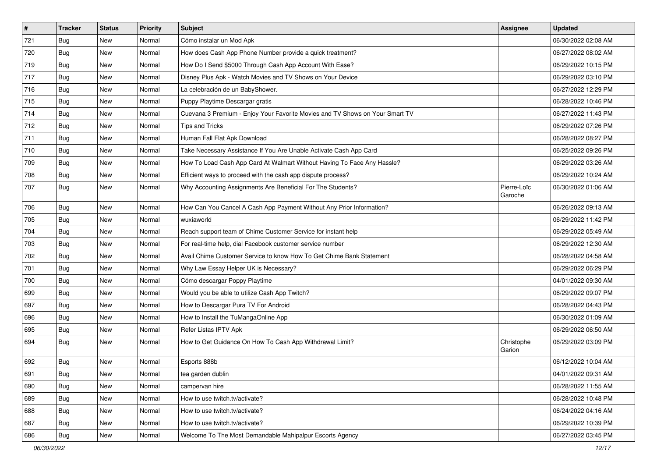| $\vert$ # | <b>Tracker</b> | <b>Status</b> | <b>Priority</b> | Subject                                                                      | <b>Assignee</b>        | <b>Updated</b>      |
|-----------|----------------|---------------|-----------------|------------------------------------------------------------------------------|------------------------|---------------------|
| 721       | <b>Bug</b>     | New           | Normal          | Cómo instalar un Mod Apk                                                     |                        | 06/30/2022 02:08 AM |
| 720       | <b>Bug</b>     | New           | Normal          | How does Cash App Phone Number provide a quick treatment?                    |                        | 06/27/2022 08:02 AM |
| 719       | Bug            | New           | Normal          | How Do I Send \$5000 Through Cash App Account With Ease?                     |                        | 06/29/2022 10:15 PM |
| 717       | <b>Bug</b>     | New           | Normal          | Disney Plus Apk - Watch Movies and TV Shows on Your Device                   |                        | 06/29/2022 03:10 PM |
| 716       | Bug            | New           | Normal          | La celebración de un BabyShower.                                             |                        | 06/27/2022 12:29 PM |
| 715       | <b>Bug</b>     | New           | Normal          | Puppy Playtime Descargar gratis                                              |                        | 06/28/2022 10:46 PM |
| 714       | <b>Bug</b>     | New           | Normal          | Cuevana 3 Premium - Enjoy Your Favorite Movies and TV Shows on Your Smart TV |                        | 06/27/2022 11:43 PM |
| 712       | <b>Bug</b>     | New           | Normal          | <b>Tips and Tricks</b>                                                       |                        | 06/29/2022 07:26 PM |
| 711       | Bug            | New           | Normal          | Human Fall Flat Apk Download                                                 |                        | 06/28/2022 08:27 PM |
| 710       | Bug            | New           | Normal          | Take Necessary Assistance If You Are Unable Activate Cash App Card           |                        | 06/25/2022 09:26 PM |
| 709       | <b>Bug</b>     | New           | Normal          | How To Load Cash App Card At Walmart Without Having To Face Any Hassle?      |                        | 06/29/2022 03:26 AM |
| 708       | Bug            | New           | Normal          | Efficient ways to proceed with the cash app dispute process?                 |                        | 06/29/2022 10:24 AM |
| 707       | Bug            | <b>New</b>    | Normal          | Why Accounting Assignments Are Beneficial For The Students?                  | Pierre-Loïc<br>Garoche | 06/30/2022 01:06 AM |
| 706       | Bug            | New           | Normal          | How Can You Cancel A Cash App Payment Without Any Prior Information?         |                        | 06/26/2022 09:13 AM |
| 705       | <b>Bug</b>     | New           | Normal          | wuxiaworld                                                                   |                        | 06/29/2022 11:42 PM |
| 704       | <b>Bug</b>     | <b>New</b>    | Normal          | Reach support team of Chime Customer Service for instant help                |                        | 06/29/2022 05:49 AM |
| 703       | Bug            | New           | Normal          | For real-time help, dial Facebook customer service number                    |                        | 06/29/2022 12:30 AM |
| 702       | <b>Bug</b>     | New           | Normal          | Avail Chime Customer Service to know How To Get Chime Bank Statement         |                        | 06/28/2022 04:58 AM |
| 701       | Bug            | New           | Normal          | Why Law Essay Helper UK is Necessary?                                        |                        | 06/29/2022 06:29 PM |
| 700       | Bug            | <b>New</b>    | Normal          | Cómo descargar Poppy Playtime                                                |                        | 04/01/2022 09:30 AM |
| 699       | <b>Bug</b>     | New           | Normal          | Would you be able to utilize Cash App Twitch?                                |                        | 06/29/2022 09:07 PM |
| 697       | Bug            | New           | Normal          | How to Descargar Pura TV For Android                                         |                        | 06/28/2022 04:43 PM |
| 696       | <b>Bug</b>     | New           | Normal          | How to Install the TuMangaOnline App                                         |                        | 06/30/2022 01:09 AM |
| 695       | <b>Bug</b>     | New           | Normal          | Refer Listas IPTV Apk                                                        |                        | 06/29/2022 06:50 AM |
| 694       | Bug            | New           | Normal          | How to Get Guidance On How To Cash App Withdrawal Limit?                     | Christophe<br>Garion   | 06/29/2022 03:09 PM |
| 692       | <b>Bug</b>     | New           | Normal          | Esports 888b                                                                 |                        | 06/12/2022 10:04 AM |
| 691       | Bug            | New           | Normal          | tea garden dublin                                                            |                        | 04/01/2022 09:31 AM |
| 690       | Bug            | New           | Normal          | campervan hire                                                               |                        | 06/28/2022 11:55 AM |
| 689       | Bug            | New           | Normal          | How to use twitch.tv/activate?                                               |                        | 06/28/2022 10:48 PM |
| 688       | <b>Bug</b>     | New           | Normal          | How to use twitch.tv/activate?                                               |                        | 06/24/2022 04:16 AM |
| 687       | Bug            | New           | Normal          | How to use twitch.tv/activate?                                               |                        | 06/29/2022 10:39 PM |
| 686       | Bug            | New           | Normal          | Welcome To The Most Demandable Mahipalpur Escorts Agency                     |                        | 06/27/2022 03:45 PM |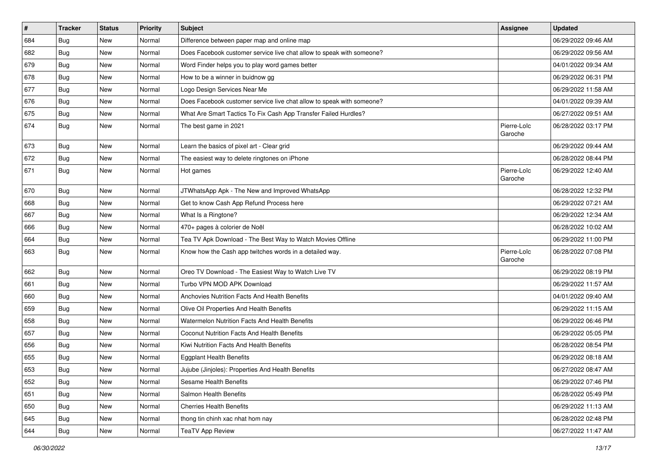| $\vert$ # | <b>Tracker</b> | <b>Status</b> | <b>Priority</b> | <b>Subject</b>                                                        | Assignee               | <b>Updated</b>      |
|-----------|----------------|---------------|-----------------|-----------------------------------------------------------------------|------------------------|---------------------|
| 684       | <b>Bug</b>     | New           | Normal          | Difference between paper map and online map                           |                        | 06/29/2022 09:46 AM |
| 682       | <b>Bug</b>     | New           | Normal          | Does Facebook customer service live chat allow to speak with someone? |                        | 06/29/2022 09:56 AM |
| 679       | <b>Bug</b>     | New           | Normal          | Word Finder helps you to play word games better                       |                        | 04/01/2022 09:34 AM |
| 678       | <b>Bug</b>     | New           | Normal          | How to be a winner in buidnow gg                                      |                        | 06/29/2022 06:31 PM |
| 677       | <b>Bug</b>     | <b>New</b>    | Normal          | Logo Design Services Near Me                                          |                        | 06/29/2022 11:58 AM |
| 676       | <b>Bug</b>     | New           | Normal          | Does Facebook customer service live chat allow to speak with someone? |                        | 04/01/2022 09:39 AM |
| 675       | <b>Bug</b>     | New           | Normal          | What Are Smart Tactics To Fix Cash App Transfer Failed Hurdles?       |                        | 06/27/2022 09:51 AM |
| 674       | Bug            | New           | Normal          | The best game in 2021                                                 | Pierre-Loïc<br>Garoche | 06/28/2022 03:17 PM |
| 673       | Bug            | <b>New</b>    | Normal          | Learn the basics of pixel art - Clear grid                            |                        | 06/29/2022 09:44 AM |
| 672       | Bug            | New           | Normal          | The easiest way to delete ringtones on iPhone                         |                        | 06/28/2022 08:44 PM |
| 671       | <b>Bug</b>     | New           | Normal          | Hot games                                                             | Pierre-Loïc<br>Garoche | 06/29/2022 12:40 AM |
| 670       | <b>Bug</b>     | New           | Normal          | JTWhatsApp Apk - The New and Improved WhatsApp                        |                        | 06/28/2022 12:32 PM |
| 668       | Bug            | New           | Normal          | Get to know Cash App Refund Process here                              |                        | 06/29/2022 07:21 AM |
| 667       | Bug            | New           | Normal          | What Is a Ringtone?                                                   |                        | 06/29/2022 12:34 AM |
| 666       | <b>Bug</b>     | New           | Normal          | 470+ pages à colorier de Noël                                         |                        | 06/28/2022 10:02 AM |
| 664       | Bug            | <b>New</b>    | Normal          | Tea TV Apk Download - The Best Way to Watch Movies Offline            |                        | 06/29/2022 11:00 PM |
| 663       | <b>Bug</b>     | New           | Normal          | Know how the Cash app twitches words in a detailed way.               | Pierre-Loïc<br>Garoche | 06/28/2022 07:08 PM |
| 662       | Bug            | <b>New</b>    | Normal          | Oreo TV Download - The Easiest Way to Watch Live TV                   |                        | 06/29/2022 08:19 PM |
| 661       | <b>Bug</b>     | New           | Normal          | Turbo VPN MOD APK Download                                            |                        | 06/29/2022 11:57 AM |
| 660       | <b>Bug</b>     | New           | Normal          | <b>Anchovies Nutrition Facts And Health Benefits</b>                  |                        | 04/01/2022 09:40 AM |
| 659       | <b>Bug</b>     | New           | Normal          | Olive Oil Properties And Health Benefits                              |                        | 06/29/2022 11:15 AM |
| 658       | <b>Bug</b>     | New           | Normal          | Watermelon Nutrition Facts And Health Benefits                        |                        | 06/29/2022 06:46 PM |
| 657       | Bug            | <b>New</b>    | Normal          | Coconut Nutrition Facts And Health Benefits                           |                        | 06/29/2022 05:05 PM |
| 656       | Bug            | New           | Normal          | Kiwi Nutrition Facts And Health Benefits                              |                        | 06/28/2022 08:54 PM |
| 655       | <b>Bug</b>     | New           | Normal          | <b>Eggplant Health Benefits</b>                                       |                        | 06/29/2022 08:18 AM |
| 653       | Bug            | New           | Normal          | Jujube (Jinjoles): Properties And Health Benefits                     |                        | 06/27/2022 08:47 AM |
| 652       | <b>Bug</b>     | New           | Normal          | Sesame Health Benefits                                                |                        | 06/29/2022 07:46 PM |
| 651       | <b>Bug</b>     | New           | Normal          | Salmon Health Benefits                                                |                        | 06/28/2022 05:49 PM |
| 650       | <b>Bug</b>     | New           | Normal          | <b>Cherries Health Benefits</b>                                       |                        | 06/29/2022 11:13 AM |
| 645       | Bug            | New           | Normal          | thong tin chinh xac nhat hom nay                                      |                        | 06/28/2022 02:48 PM |
| 644       | Bug            | New           | Normal          | <b>TeaTV App Review</b>                                               |                        | 06/27/2022 11:47 AM |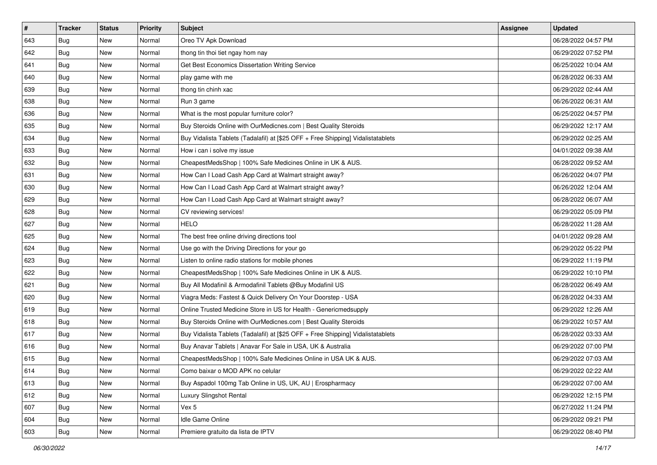| $\vert$ # | <b>Tracker</b> | <b>Status</b> | <b>Priority</b> | Subject                                                                          | <b>Assignee</b> | <b>Updated</b>      |
|-----------|----------------|---------------|-----------------|----------------------------------------------------------------------------------|-----------------|---------------------|
| 643       | <b>Bug</b>     | New           | Normal          | Oreo TV Apk Download                                                             |                 | 06/28/2022 04:57 PM |
| 642       | <b>Bug</b>     | New           | Normal          | thong tin thoi tiet ngay hom nay                                                 |                 | 06/29/2022 07:52 PM |
| 641       | <b>Bug</b>     | New           | Normal          | Get Best Economics Dissertation Writing Service                                  |                 | 06/25/2022 10:04 AM |
| 640       | Bug            | New           | Normal          | play game with me                                                                |                 | 06/28/2022 06:33 AM |
| 639       | Bug            | <b>New</b>    | Normal          | thong tin chinh xac                                                              |                 | 06/29/2022 02:44 AM |
| 638       | Bug            | New           | Normal          | Run 3 game                                                                       |                 | 06/26/2022 06:31 AM |
| 636       | <b>Bug</b>     | New           | Normal          | What is the most popular furniture color?                                        |                 | 06/25/2022 04:57 PM |
| 635       | <b>Bug</b>     | New           | Normal          | Buy Steroids Online with OurMedicnes.com   Best Quality Steroids                 |                 | 06/29/2022 12:17 AM |
| 634       | <b>Bug</b>     | New           | Normal          | Buy Vidalista Tablets (Tadalafil) at [\$25 OFF + Free Shipping] Vidalistatablets |                 | 06/29/2022 02:25 AM |
| 633       | Bug            | <b>New</b>    | Normal          | How i can i solve my issue                                                       |                 | 04/01/2022 09:38 AM |
| 632       | <b>Bug</b>     | New           | Normal          | CheapestMedsShop   100% Safe Medicines Online in UK & AUS.                       |                 | 06/28/2022 09:52 AM |
| 631       | Bug            | New           | Normal          | How Can I Load Cash App Card at Walmart straight away?                           |                 | 06/26/2022 04:07 PM |
| 630       | Bug            | New           | Normal          | How Can I Load Cash App Card at Walmart straight away?                           |                 | 06/26/2022 12:04 AM |
| 629       | <b>Bug</b>     | New           | Normal          | How Can I Load Cash App Card at Walmart straight away?                           |                 | 06/28/2022 06:07 AM |
| 628       | <b>Bug</b>     | New           | Normal          | CV reviewing services!                                                           |                 | 06/29/2022 05:09 PM |
| 627       | Bug            | New           | Normal          | <b>HELO</b>                                                                      |                 | 06/28/2022 11:28 AM |
| 625       | <b>Bug</b>     | New           | Normal          | The best free online driving directions tool                                     |                 | 04/01/2022 09:28 AM |
| 624       | Bug            | New           | Normal          | Use go with the Driving Directions for your go                                   |                 | 06/29/2022 05:22 PM |
| 623       | <b>Bug</b>     | New           | Normal          | Listen to online radio stations for mobile phones                                |                 | 06/29/2022 11:19 PM |
| 622       | <b>Bug</b>     | New           | Normal          | CheapestMedsShop   100% Safe Medicines Online in UK & AUS.                       |                 | 06/29/2022 10:10 PM |
| 621       | <b>Bug</b>     | New           | Normal          | Buy All Modafinil & Armodafinil Tablets @Buy Modafinil US                        |                 | 06/28/2022 06:49 AM |
| 620       | <b>Bug</b>     | New           | Normal          | Viagra Meds: Fastest & Quick Delivery On Your Doorstep - USA                     |                 | 06/28/2022 04:33 AM |
| 619       | Bug            | <b>New</b>    | Normal          | Online Trusted Medicine Store in US for Health - Genericmedsupply                |                 | 06/29/2022 12:26 AM |
| 618       | <b>Bug</b>     | New           | Normal          | Buy Steroids Online with OurMedicnes.com   Best Quality Steroids                 |                 | 06/29/2022 10:57 AM |
| 617       | <b>Bug</b>     | New           | Normal          | Buy Vidalista Tablets (Tadalafil) at [\$25 OFF + Free Shipping] Vidalistatablets |                 | 06/28/2022 03:33 AM |
| 616       | Bug            | New           | Normal          | Buy Anavar Tablets   Anavar For Sale in USA, UK & Australia                      |                 | 06/29/2022 07:00 PM |
| 615       | <b>Bug</b>     | New           | Normal          | CheapestMedsShop   100% Safe Medicines Online in USA UK & AUS.                   |                 | 06/29/2022 07:03 AM |
| 614       | <b>Bug</b>     | New           | Normal          | Como baixar o MOD APK no celular                                                 |                 | 06/29/2022 02:22 AM |
| 613       | <b>Bug</b>     | New           | Normal          | Buy Aspadol 100mg Tab Online in US, UK, AU   Erospharmacy                        |                 | 06/29/2022 07:00 AM |
| 612       | <b>Bug</b>     | New           | Normal          | Luxury Slingshot Rental                                                          |                 | 06/29/2022 12:15 PM |
| 607       | <b>Bug</b>     | New           | Normal          | Vex 5                                                                            |                 | 06/27/2022 11:24 PM |
| 604       | <b>Bug</b>     | New           | Normal          | Idle Game Online                                                                 |                 | 06/29/2022 09:21 PM |
| 603       | <b>Bug</b>     | New           | Normal          | Premiere gratuito da lista de IPTV                                               |                 | 06/29/2022 08:40 PM |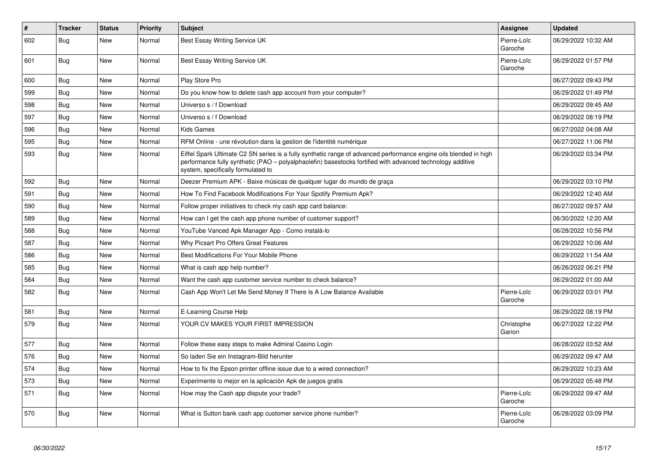| $\pmb{\sharp}$ | <b>Tracker</b> | <b>Status</b> | <b>Priority</b> | <b>Subject</b>                                                                                                                                                                                                                                                        | Assignee               | <b>Updated</b>      |
|----------------|----------------|---------------|-----------------|-----------------------------------------------------------------------------------------------------------------------------------------------------------------------------------------------------------------------------------------------------------------------|------------------------|---------------------|
| 602            | Bug            | New           | Normal          | Best Essay Writing Service UK                                                                                                                                                                                                                                         | Pierre-Loïc<br>Garoche | 06/29/2022 10:32 AM |
| 601            | <b>Bug</b>     | New           | Normal          | Best Essay Writing Service UK                                                                                                                                                                                                                                         | Pierre-Loïc<br>Garoche | 06/29/2022 01:57 PM |
| 600            | <b>Bug</b>     | <b>New</b>    | Normal          | Play Store Pro                                                                                                                                                                                                                                                        |                        | 06/27/2022 09:43 PM |
| 599            | <b>Bug</b>     | New           | Normal          | Do you know how to delete cash app account from your computer?                                                                                                                                                                                                        |                        | 06/29/2022 01:49 PM |
| 598            | Bug            | <b>New</b>    | Normal          | Universo s / f Download                                                                                                                                                                                                                                               |                        | 06/29/2022 09:45 AM |
| 597            | Bug            | New           | Normal          | Universo s / f Download                                                                                                                                                                                                                                               |                        | 06/29/2022 08:19 PM |
| 596            | Bug            | New           | Normal          | <b>Kids Games</b>                                                                                                                                                                                                                                                     |                        | 06/27/2022 04:08 AM |
| 595            | Bug            | New           | Normal          | RFM Online - une révolution dans la gestion de l'identité numérique                                                                                                                                                                                                   |                        | 06/27/2022 11:06 PM |
| 593            | Bug            | New           | Normal          | Eiffel Spark Ultimate C2 SN series is a fully synthetic range of advanced performance engine oils blended in high<br>performance fully synthetic (PAO - polyalphaolefin) basestocks fortified with advanced technology additive<br>system, specifically formulated to |                        | 06/29/2022 03:34 PM |
| 592            | <b>Bug</b>     | <b>New</b>    | Normal          | Deezer Premium APK - Baixe músicas de qualquer lugar do mundo de graca                                                                                                                                                                                                |                        | 06/29/2022 03:10 PM |
| 591            | Bug            | New           | Normal          | How To Find Facebook Modifications For Your Spotify Premium Apk?                                                                                                                                                                                                      |                        | 06/29/2022 12:40 AM |
| 590            | Bug            | New           | Normal          | Follow proper initiatives to check my cash app card balance:                                                                                                                                                                                                          |                        | 06/27/2022 09:57 AM |
| 589            | Bug            | New           | Normal          | How can I get the cash app phone number of customer support?                                                                                                                                                                                                          |                        | 06/30/2022 12:20 AM |
| 588            | Bug            | <b>New</b>    | Normal          | YouTube Vanced Apk Manager App - Como instalá-lo                                                                                                                                                                                                                      |                        | 06/28/2022 10:56 PM |
| 587            | <b>Bug</b>     | <b>New</b>    | Normal          | Why Picsart Pro Offers Great Features                                                                                                                                                                                                                                 |                        | 06/29/2022 10:06 AM |
| 586            | <b>Bug</b>     | <b>New</b>    | Normal          | Best Modifications For Your Mobile Phone                                                                                                                                                                                                                              |                        | 06/29/2022 11:54 AM |
| 585            | Bug            | New           | Normal          | What is cash app help number?                                                                                                                                                                                                                                         |                        | 06/26/2022 06:21 PM |
| 584            | <b>Bug</b>     | New           | Normal          | Want the cash app customer service number to check balance?                                                                                                                                                                                                           |                        | 06/29/2022 01:00 AM |
| 582            | <b>Bug</b>     | <b>New</b>    | Normal          | Cash App Won't Let Me Send Money If There Is A Low Balance Available                                                                                                                                                                                                  | Pierre-Loïc<br>Garoche | 06/29/2022 03:01 PM |
| 581            | Bug            | New           | Normal          | E-Learning Course Help                                                                                                                                                                                                                                                |                        | 06/29/2022 08:19 PM |
| 579            | <b>Bug</b>     | <b>New</b>    | Normal          | YOUR CV MAKES YOUR FIRST IMPRESSION                                                                                                                                                                                                                                   | Christophe<br>Garion   | 06/27/2022 12:22 PM |
| 577            | Bug            | <b>New</b>    | Normal          | Follow these easy steps to make Admiral Casino Login                                                                                                                                                                                                                  |                        | 06/28/2022 03:52 AM |
| 576            | <b>Bug</b>     | New           | Normal          | So laden Sie ein Instagram-Bild herunter                                                                                                                                                                                                                              |                        | 06/29/2022 09:47 AM |
| 574            | Bug            | New           | Normal          | How to fix the Epson printer offline issue due to a wired connection?                                                                                                                                                                                                 |                        | 06/29/2022 10:23 AM |
| 573            | Bug            | New           | Normal          | Experimente lo mejor en la aplicación Apk de juegos gratis                                                                                                                                                                                                            |                        | 06/29/2022 05:48 PM |
| 571            | Bug            | New           | Normal          | How may the Cash app dispute your trade?                                                                                                                                                                                                                              | Pierre-Loïc<br>Garoche | 06/29/2022 09:47 AM |
| 570            | Bug            | New           | Normal          | What is Sutton bank cash app customer service phone number?                                                                                                                                                                                                           | Pierre-Loïc<br>Garoche | 06/28/2022 03:09 PM |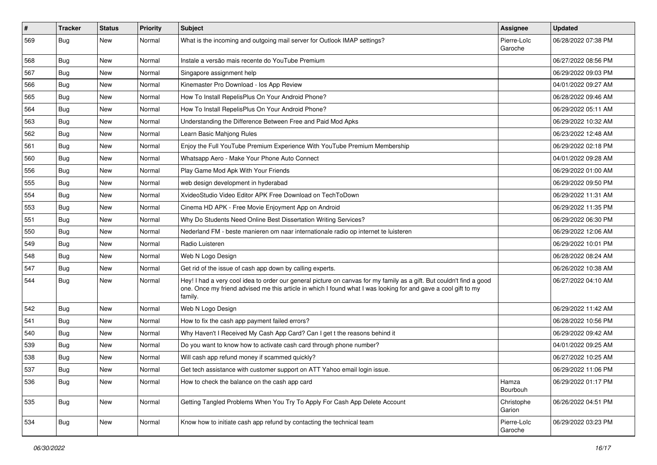| $\vert$ # | <b>Tracker</b> | <b>Status</b> | <b>Priority</b> | Subject                                                                                                                                                                                                                                           | <b>Assignee</b>        | <b>Updated</b>      |
|-----------|----------------|---------------|-----------------|---------------------------------------------------------------------------------------------------------------------------------------------------------------------------------------------------------------------------------------------------|------------------------|---------------------|
| 569       | <b>Bug</b>     | New           | Normal          | What is the incoming and outgoing mail server for Outlook IMAP settings?                                                                                                                                                                          | Pierre-Loïc<br>Garoche | 06/28/2022 07:38 PM |
| 568       | Bug            | New           | Normal          | Instale a versão mais recente do YouTube Premium                                                                                                                                                                                                  |                        | 06/27/2022 08:56 PM |
| 567       | Bug            | New           | Normal          | Singapore assignment help                                                                                                                                                                                                                         |                        | 06/29/2022 09:03 PM |
| 566       | Bug            | <b>New</b>    | Normal          | Kinemaster Pro Download - los App Review                                                                                                                                                                                                          |                        | 04/01/2022 09:27 AM |
| 565       | <b>Bug</b>     | New           | Normal          | How To Install RepelisPlus On Your Android Phone?                                                                                                                                                                                                 |                        | 06/28/2022 09:46 AM |
| 564       | Bug            | New           | Normal          | How To Install RepelisPlus On Your Android Phone?                                                                                                                                                                                                 |                        | 06/29/2022 05:11 AM |
| 563       | Bug            | <b>New</b>    | Normal          | Understanding the Difference Between Free and Paid Mod Apks                                                                                                                                                                                       |                        | 06/29/2022 10:32 AM |
| 562       | Bug            | New           | Normal          | Learn Basic Mahjong Rules                                                                                                                                                                                                                         |                        | 06/23/2022 12:48 AM |
| 561       | Bug            | New           | Normal          | Enjoy the Full YouTube Premium Experience With YouTube Premium Membership                                                                                                                                                                         |                        | 06/29/2022 02:18 PM |
| 560       | Bug            | New           | Normal          | Whatsapp Aero - Make Your Phone Auto Connect                                                                                                                                                                                                      |                        | 04/01/2022 09:28 AM |
| 556       | Bug            | New           | Normal          | Play Game Mod Apk With Your Friends                                                                                                                                                                                                               |                        | 06/29/2022 01:00 AM |
| 555       | Bug            | <b>New</b>    | Normal          | web design development in hyderabad                                                                                                                                                                                                               |                        | 06/29/2022 09:50 PM |
| 554       | Bug            | New           | Normal          | XvideoStudio Video Editor APK Free Download on TechToDown                                                                                                                                                                                         |                        | 06/29/2022 11:31 AM |
| 553       | Bug            | New           | Normal          | Cinema HD APK - Free Movie Enjoyment App on Android                                                                                                                                                                                               |                        | 06/29/2022 11:35 PM |
| 551       | Bug            | New           | Normal          | Why Do Students Need Online Best Dissertation Writing Services?                                                                                                                                                                                   |                        | 06/29/2022 06:30 PM |
| 550       | Bug            | New           | Normal          | Nederland FM - beste manieren om naar internationale radio op internet te luisteren                                                                                                                                                               |                        | 06/29/2022 12:06 AM |
| 549       | Bug            | <b>New</b>    | Normal          | Radio Luisteren                                                                                                                                                                                                                                   |                        | 06/29/2022 10:01 PM |
| 548       | Bug            | New           | Normal          | Web N Logo Design                                                                                                                                                                                                                                 |                        | 06/28/2022 08:24 AM |
| 547       | Bug            | New           | Normal          | Get rid of the issue of cash app down by calling experts.                                                                                                                                                                                         |                        | 06/26/2022 10:38 AM |
| 544       | Bug            | <b>New</b>    | Normal          | Hey! I had a very cool idea to order our general picture on canvas for my family as a gift. But couldn't find a good<br>one. Once my friend advised me this article in which I found what I was looking for and gave a cool gift to my<br>family. |                        | 06/27/2022 04:10 AM |
| 542       | Bug            | New           | Normal          | Web N Logo Design                                                                                                                                                                                                                                 |                        | 06/29/2022 11:42 AM |
| 541       | Bug            | <b>New</b>    | Normal          | How to fix the cash app payment failed errors?                                                                                                                                                                                                    |                        | 06/28/2022 10:56 PM |
| 540       | Bug            | <b>New</b>    | Normal          | Why Haven't I Received My Cash App Card? Can I get t the reasons behind it                                                                                                                                                                        |                        | 06/29/2022 09:42 AM |
| 539       | Bug            | New           | Normal          | Do you want to know how to activate cash card through phone number?                                                                                                                                                                               |                        | 04/01/2022 09:25 AM |
| 538       | <b>Bug</b>     | New           | Normal          | Will cash app refund money if scammed quickly?                                                                                                                                                                                                    |                        | 06/27/2022 10:25 AM |
| 537       | Bug            | New           | Normal          | Get tech assistance with customer support on ATT Yahoo email login issue.                                                                                                                                                                         |                        | 06/29/2022 11:06 PM |
| 536       | <b>Bug</b>     | New           | Normal          | How to check the balance on the cash app card                                                                                                                                                                                                     | Hamza<br>Bourbouh      | 06/29/2022 01:17 PM |
| 535       | <b>Bug</b>     | New           | Normal          | Getting Tangled Problems When You Try To Apply For Cash App Delete Account                                                                                                                                                                        | Christophe<br>Garion   | 06/26/2022 04:51 PM |
| 534       | Bug            | New           | Normal          | Know how to initiate cash app refund by contacting the technical team                                                                                                                                                                             | Pierre-Loïc<br>Garoche | 06/29/2022 03:23 PM |